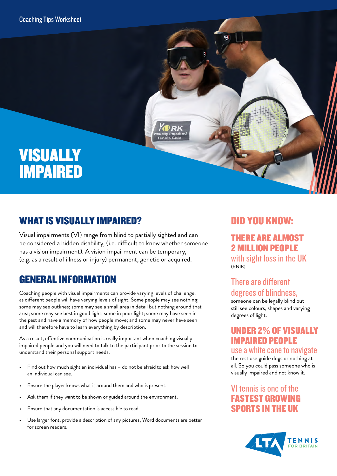VISUALLY

IMPAIRED

# WHAT IS VISUALLY IMPAIRED?

Visual impairments (VI) range from blind to partially sighted and can be considered a hidden disability, (i.e. difficult to know whether someone has a vision impairment). A vision impairment can be temporary, (e.g. as a result of illness or injury) permanent, genetic or acquired.

# GENERAL INFORMATION

Coaching people with visual impairments can provide varying levels of challenge, as different people will have varying levels of sight. Some people may see nothing; some may see outlines; some may see a small area in detail but nothing around that area; some may see best in good light; some in poor light; some may have seen in the past and have a memory of how people move; and some may never have seen and will therefore have to learn everything by description.

As a result, effective communication is really important when coaching visually impaired people and you will need to talk to the participant prior to the session to understand their personal support needs.

- Find out how much sight an individual has do not be afraid to ask how well an individual can see.
- Ensure the player knows what is around them and who is present.
- Ask them if they want to be shown or guided around the environment.
- Ensure that any documentation is accessible to read.
- Use larger font, provide a description of any pictures, Word documents are better for screen readers.

## DID YOU KNOW:

# THERE ARE ALMOST 2 MILLION PEOPLE

with sight loss in the UK (RNIB).

## There are different degrees of blindness,

someone can be legally blind but still see colours, shapes and varying degrees of light.

## UNDER 2% OF VISUALLY IMPAIRED PEOPLE

#### use a white cane to navigate

the rest use guide dogs or nothing at all. So you could pass someone who is visually impaired and not know it.

## VI tennis is one of the FASTEST GROWING SPORTS IN THE UK